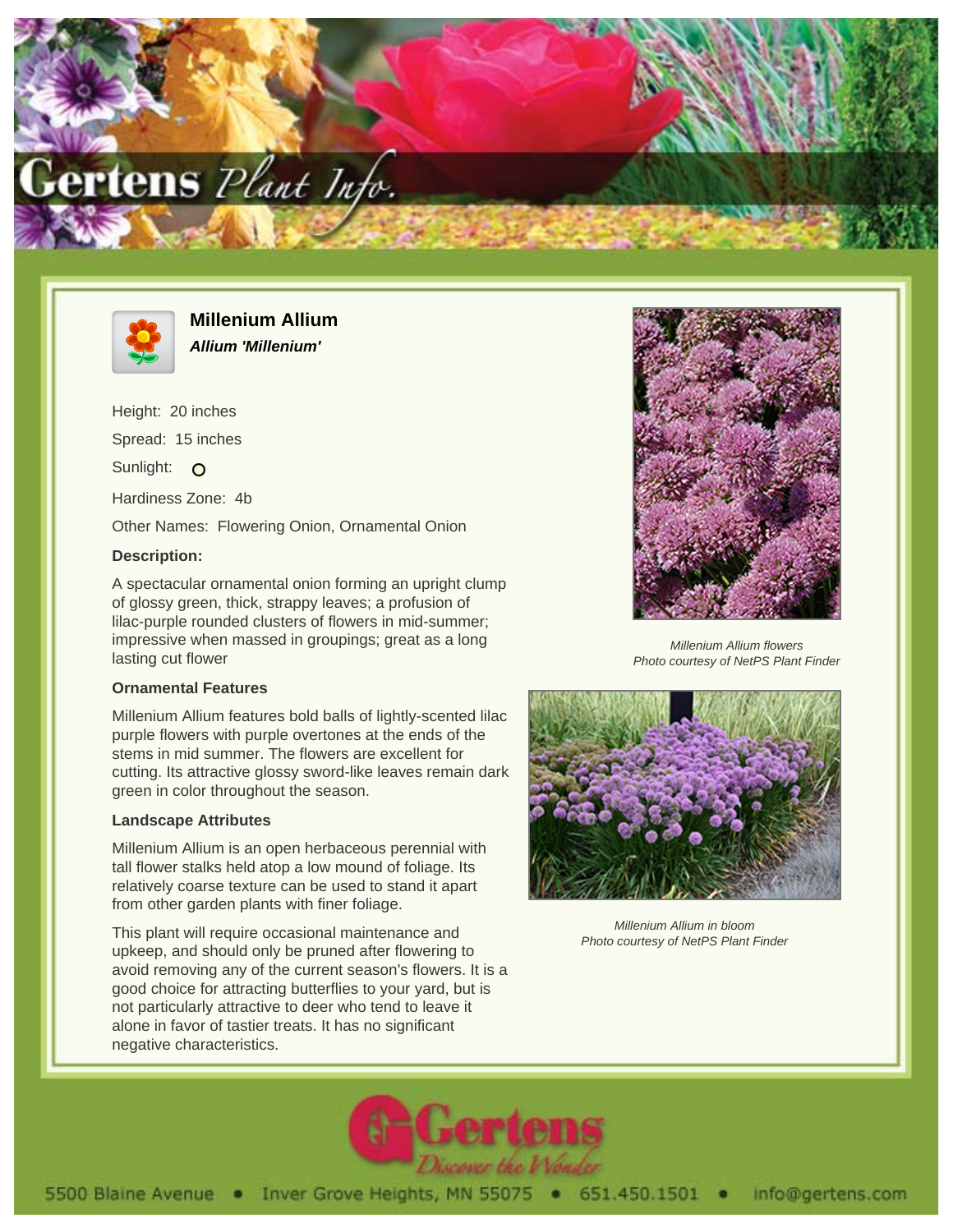



**Millenium Allium Allium 'Millenium'**

Height: 20 inches Spread: 15 inches Sunlight: O Hardiness Zone: 4b Other Names: Flowering Onion, Ornamental Onion

## **Description:**

A spectacular ornamental onion forming an upright clump of glossy green, thick, strappy leaves; a profusion of lilac-purple rounded clusters of flowers in mid-summer; impressive when massed in groupings; great as a long lasting cut flower

## **Ornamental Features**

Millenium Allium features bold balls of lightly-scented lilac purple flowers with purple overtones at the ends of the stems in mid summer. The flowers are excellent for cutting. Its attractive glossy sword-like leaves remain dark green in color throughout the season.

## **Landscape Attributes**

Millenium Allium is an open herbaceous perennial with tall flower stalks held atop a low mound of foliage. Its relatively coarse texture can be used to stand it apart from other garden plants with finer foliage.

This plant will require occasional maintenance and upkeep, and should only be pruned after flowering to avoid removing any of the current season's flowers. It is a good choice for attracting butterflies to your yard, but is not particularly attractive to deer who tend to leave it alone in favor of tastier treats. It has no significant negative characteristics.



Millenium Allium flowers Photo courtesy of NetPS Plant Finder



Millenium Allium in bloom Photo courtesy of NetPS Plant Finder